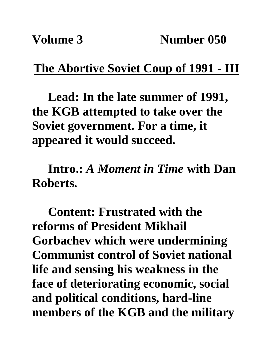## **The Abortive Soviet Coup of 1991 - III**

**Lead: In the late summer of 1991, the KGB attempted to take over the Soviet government. For a time, it appeared it would succeed.**

**Intro.:** *A Moment in Time* **with Dan Roberts.**

**Content: Frustrated with the reforms of President Mikhail Gorbachev which were undermining Communist control of Soviet national life and sensing his weakness in the face of deteriorating economic, social and political conditions, hard-line members of the KGB and the military**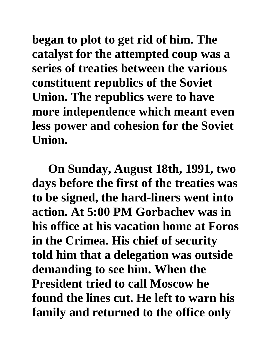**began to plot to get rid of him. The catalyst for the attempted coup was a series of treaties between the various constituent republics of the Soviet Union. The republics were to have more independence which meant even less power and cohesion for the Soviet Union.** 

**On Sunday, August 18th, 1991, two days before the first of the treaties was to be signed, the hard-liners went into action. At 5:00 PM Gorbachev was in his office at his vacation home at Foros in the Crimea. His chief of security told him that a delegation was outside demanding to see him. When the President tried to call Moscow he found the lines cut. He left to warn his family and returned to the office only**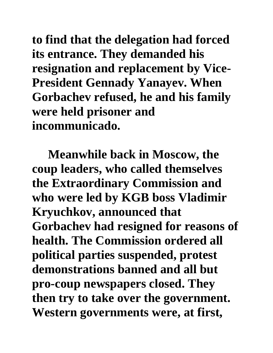**to find that the delegation had forced its entrance. They demanded his resignation and replacement by Vice-President Gennady Yanayev. When Gorbachev refused, he and his family were held prisoner and incommunicado.** 

**Meanwhile back in Moscow, the coup leaders, who called themselves the Extraordinary Commission and who were led by KGB boss Vladimir Kryuchkov, announced that Gorbachev had resigned for reasons of health. The Commission ordered all political parties suspended, protest demonstrations banned and all but pro-coup newspapers closed. They then try to take over the government. Western governments were, at first,**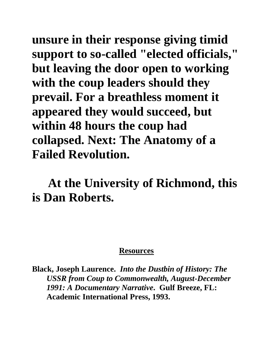**unsure in their response giving timid support to so-called "elected officials," but leaving the door open to working with the coup leaders should they prevail. For a breathless moment it appeared they would succeed, but within 48 hours the coup had collapsed. Next: The Anatomy of a Failed Revolution.**

## **At the University of Richmond, this is Dan Roberts.**

## **Resources**

**Black, Joseph Laurence.** *Into the Dustbin of History: The USSR from Coup to Commonwealth, August-December 1991: A Documentary Narrative***. Gulf Breeze, FL: Academic International Press, 1993.**